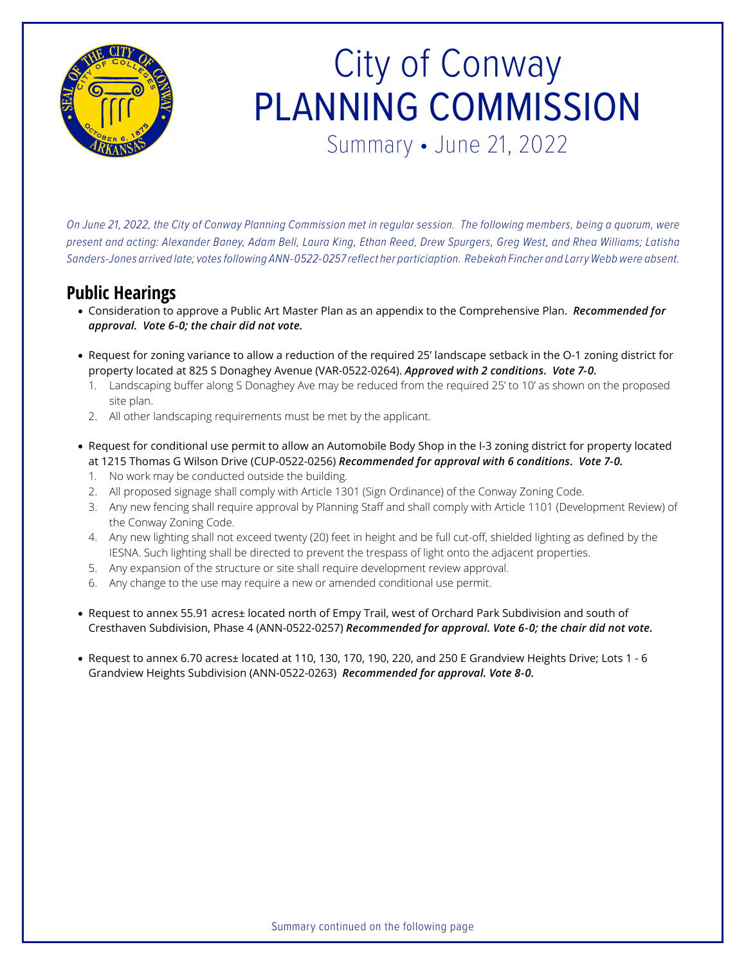

## City of Conway PLANNING COMMISSION Summary • June 21, 2022

*On June 21, 2022, the City of Conway Planning Commission met in regular session. The following members, being a quorum, were present and acting: Alexander Baney, Adam Bell, Laura King, Ethan Reed, Drew Spurgers, Greg West, and Rhea Williams; Latisha Sanders-Jones arrived late; votes following ANN-0522-0257 reflect her particiaption. Rebekah Fincher and Larry Webb were absent.*

### **Public Hearings**

- Consideration to approve a Public Art Master Plan as an appendix to the Comprehensive Plan. *Recommended for approval. Vote 6-0; the chair did not vote.*
- Request for zoning variance to allow a reduction of the required 25' landscape setback in the O-1 zoning district for property located at 825 S Donaghey Avenue (VAR-0522-0264). *Approved with 2 conditions. Vote 7-0.*
	- 1. Landscaping buffer along S Donaghey Ave may be reduced from the required 25' to 10' as shown on the proposed site plan.
	- 2. All other landscaping requirements must be met by the applicant.
- Request for conditional use permit to allow an Automobile Body Shop in the I-3 zoning district for property located at 1215 Thomas G Wilson Drive (CUP-0522-0256) *Recommended for approval with 6 conditions. Vote 7-0.*
	- 1. No work may be conducted outside the building.
	- 2. All proposed signage shall comply with Article 1301 (Sign Ordinance) of the Conway Zoning Code.
	- 3. Any new fencing shall require approval by Planning Staff and shall comply with Article 1101 (Development Review) of the Conway Zoning Code.
	- 4. Any new lighting shall not exceed twenty (20) feet in height and be full cut-off, shielded lighting as defined by the IESNA. Such lighting shall be directed to prevent the trespass of light onto the adjacent properties.
	- 5. Any expansion of the structure or site shall require development review approval.
	- 6. Any change to the use may require a new or amended conditional use permit.
- Request to annex 55.91 acres± located north of Empy Trail, west of Orchard Park Subdivision and south of Cresthaven Subdivision, Phase 4 (ANN-0522-0257) *Recommended for approval. Vote 6-0; the chair did not vote.*
- Request to annex 6.70 acres± located at 110, 130, 170, 190, 220, and 250 E Grandview Heights Drive; Lots 1 6 Grandview Heights Subdivision (ANN-0522-0263) *Recommended for approval. Vote 8-0.*